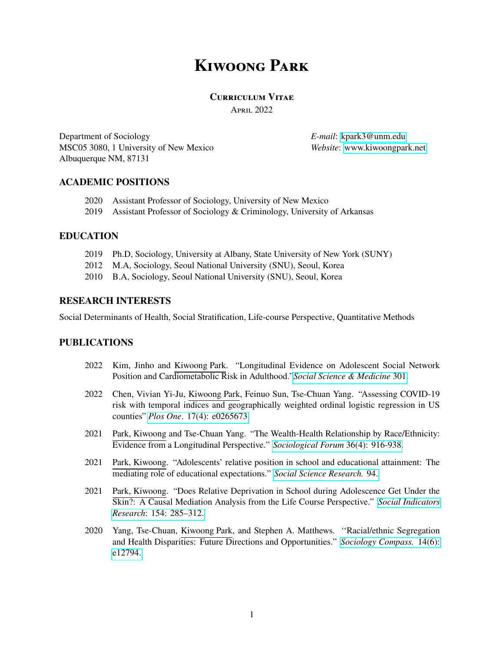# **Kiwoong Park**

## **Curriculum Vitae**

April 2022

Department of Sociology MSC05 3080, 1 University of New Mexico Albuquerque NM, 87131

*E-mail*: [kpark3@unm.edu](mailto:kpark3@unm.edu) *Website*: [www.kiwoongpark.net](http://www.kiwoongpark.net/)

# **ACADEMIC POSITIONS**

- 2020 Assistant Professor of Sociology, University of New Mexico
- 2019 Assistant Professor of Sociology & Criminology, University of Arkansas

# **EDUCATION**

- 2019 Ph.D, Sociology, University at Albany, State University of New York (SUNY)
- 2012 M.A, Sociology, Seoul National University (SNU), Seoul, Korea
- 2010 B.A, Sociology, Seoul National University (SNU), Seoul, Korea

# **RESEARCH INTERESTS**

Social Determinants of Health, Social Stratification, Life-course Perspective, Quantitative Methods

# **PUBLICATIONS**

- 2022 Kim, Jinho and Kiwoong Park. "Longitudinal Evidence on Adolescent Social Network Position and Cardiometabolic Risk in Adulthood."*[Social Science & Medicine](https://doi.org/10.1016/j.socscimed.2022.114909)* 301.
- 2022 Chen, Vivian Yi-Ju, Kiwoong Park, Feinuo Sun, Tse-Chuan Yang. "Assessing COVID-19 risk with temporal indices and geographically weighted ordinal logistic regression in US counties" *Plos One*[. 17\(4\): e0265673.](https://doi.org/10.1371/journal.pone.0265673)
- 2021 Park, Kiwoong and Tse-Chuan Yang. "The Wealth-Health Relationship by Race/Ethnicity: Evidence from a Longitudinal Perspective." *[Sociological Forum](https://doi.org/10.1111/socf.12749)* 36(4): 916-938.
- 2021 Park, Kiwoong. "Adolescents' relative position in school and educational attainment: The mediating role of educational expectations." *[Social Science Research.](https://doi.org/10.1016/j.ssresearch.2020.102520)* 94.
- 2021 Park, Kiwoong. "Does Relative Deprivation in School during Adolescence Get Under the Skin?: A Causal Mediation Analysis from the Life Course Perspective." *[Social Indicators](https://doi.org/10.1007/s11205-020-02558-7) Research*[: 154: 285–312.](https://doi.org/10.1007/s11205-020-02558-7)
- 2020 Yang, Tse-Chuan, Kiwoong Park, and Stephen A. Matthews. *'*'Racial/ethnic Segregation and Health Disparities: Future Directions and Opportunities." *[Sociology Compass.](https://doi.org/10.1111/soc4.12794)* 14(6): [e12794.](https://doi.org/10.1111/soc4.12794)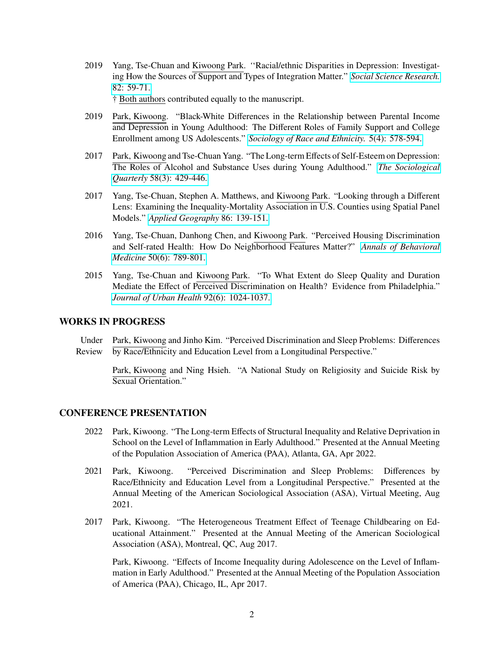2019 Yang, Tse-Chuan and Kiwoong Park. *'*'Racial/ethnic Disparities in Depression: Investigating How the Sources of Support and Types of Integration Matter." *[Social Science Research.](https://doi.org/10.1016/j.ssresearch.2019.04.002)* [82: 59-71.](https://doi.org/10.1016/j.ssresearch.2019.04.002)

† Both authors contributed equally to the manuscript.

- 2019 Park, Kiwoong. "Black-White Differences in the Relationship between Parental Income and Depression in Young Adulthood: The Different Roles of Family Support and College Enrollment among US Adolescents." *[Sociology of Race and Ethnicity.](https://doi.org/10.1177/2332649218776037)* 5(4): 578-594.
- 2017 Park, Kiwoong and Tse-Chuan Yang. "The Long-term Effects of Self-Esteem on Depression: The Roles of Alcohol and Substance Uses during Young Adulthood." *[The Sociological](https://doi.org/10.1080/00380253.2017.1331718) Quarterly* [58\(3\): 429-446.](https://doi.org/10.1080/00380253.2017.1331718)
- 2017 Yang, Tse-Chuan, Stephen A. Matthews, and Kiwoong Park. "Looking through a Different Lens: Examining the Inequality-Mortality Association in U.S. Counties using Spatial Panel Models." *[Applied Geography](https://doi.org/10.1016/j.apgeog.2017.07.006)* 86: 139-151.
- 2016 Yang, Tse-Chuan, Danhong Chen, and Kiwoong Park. "Perceived Housing Discrimination and Self-rated Health: How Do Neighborhood Features Matter?" *[Annals of Behavioral](https://doi.org/10.1007/s12160-016-9802-z) Medicine* [50\(6\): 789-801.](https://doi.org/10.1007/s12160-016-9802-z)
- 2015 Yang, Tse-Chuan and Kiwoong Park. "To What Extent do Sleep Quality and Duration Mediate the Effect of Perceived Discrimination on Health? Evidence from Philadelphia." *[Journal of Urban Health](https://doi.org/10.1007/s11524-015-9986-8)* 92(6): 1024-1037.

## **WORKS IN PROGRESS**

Under Park, Kiwoong and Jinho Kim. "Perceived Discrimination and Sleep Problems: Differences Review by Race/Ethnicity and Education Level from a Longitudinal Perspective."

Park, Kiwoong and Ning Hsieh. "A National Study on Religiosity and Suicide Risk by Sexual Orientation."

## **CONFERENCE PRESENTATION**

- 2022 Park, Kiwoong. "The Long-term Effects of Structural Inequality and Relative Deprivation in School on the Level of Inflammation in Early Adulthood." Presented at the Annual Meeting of the Population Association of America (PAA), Atlanta, GA, Apr 2022.
- 2021 Park, Kiwoong. "Perceived Discrimination and Sleep Problems: Differences by Race/Ethnicity and Education Level from a Longitudinal Perspective." Presented at the Annual Meeting of the American Sociological Association (ASA), Virtual Meeting, Aug 2021.
- 2017 Park, Kiwoong. "The Heterogeneous Treatment Effect of Teenage Childbearing on Educational Attainment." Presented at the Annual Meeting of the American Sociological Association (ASA), Montreal, QC, Aug 2017.

Park, Kiwoong. "Effects of Income Inequality during Adolescence on the Level of Inflammation in Early Adulthood." Presented at the Annual Meeting of the Population Association of America (PAA), Chicago, IL, Apr 2017.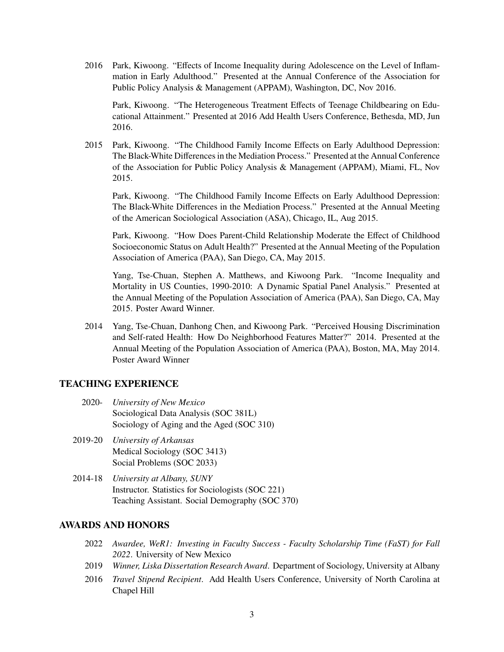2016 Park, Kiwoong. "Effects of Income Inequality during Adolescence on the Level of Inflammation in Early Adulthood." Presented at the Annual Conference of the Association for Public Policy Analysis & Management (APPAM), Washington, DC, Nov 2016.

Park, Kiwoong. "The Heterogeneous Treatment Effects of Teenage Childbearing on Educational Attainment." Presented at 2016 Add Health Users Conference, Bethesda, MD, Jun 2016.

2015 Park, Kiwoong. "The Childhood Family Income Effects on Early Adulthood Depression: The Black-White Differences in the Mediation Process." Presented at the Annual Conference of the Association for Public Policy Analysis & Management (APPAM), Miami, FL, Nov 2015.

Park, Kiwoong. "The Childhood Family Income Effects on Early Adulthood Depression: The Black-White Differences in the Mediation Process." Presented at the Annual Meeting of the American Sociological Association (ASA), Chicago, IL, Aug 2015.

Park, Kiwoong. "How Does Parent-Child Relationship Moderate the Effect of Childhood Socioeconomic Status on Adult Health?" Presented at the Annual Meeting of the Population Association of America (PAA), San Diego, CA, May 2015.

Yang, Tse-Chuan, Stephen A. Matthews, and Kiwoong Park. "Income Inequality and Mortality in US Counties, 1990-2010: A Dynamic Spatial Panel Analysis." Presented at the Annual Meeting of the Population Association of America (PAA), San Diego, CA, May 2015. Poster Award Winner.

2014 Yang, Tse-Chuan, Danhong Chen, and Kiwoong Park. "Perceived Housing Discrimination and Self-rated Health: How Do Neighborhood Features Matter?" 2014. Presented at the Annual Meeting of the Population Association of America (PAA), Boston, MA, May 2014. Poster Award Winner

#### **TEACHING EXPERIENCE**

- 2020- *University of New Mexico* Sociological Data Analysis (SOC 381L) Sociology of Aging and the Aged (SOC 310)
- 2019-20 *University of Arkansas* Medical Sociology (SOC 3413) Social Problems (SOC 2033)
- 2014-18 *University at Albany, SUNY* Instructor. Statistics for Sociologists (SOC 221) Teaching Assistant. Social Demography (SOC 370)

# **AWARDS AND HONORS**

- 2022 *Awardee, WeR1: Investing in Faculty Success Faculty Scholarship Time (FaST) for Fall 2022*. University of New Mexico
- 2019 *Winner, Liska Dissertation Research Award*. Department of Sociology, University at Albany
- 2016 *Travel Stipend Recipient*. Add Health Users Conference, University of North Carolina at Chapel Hill